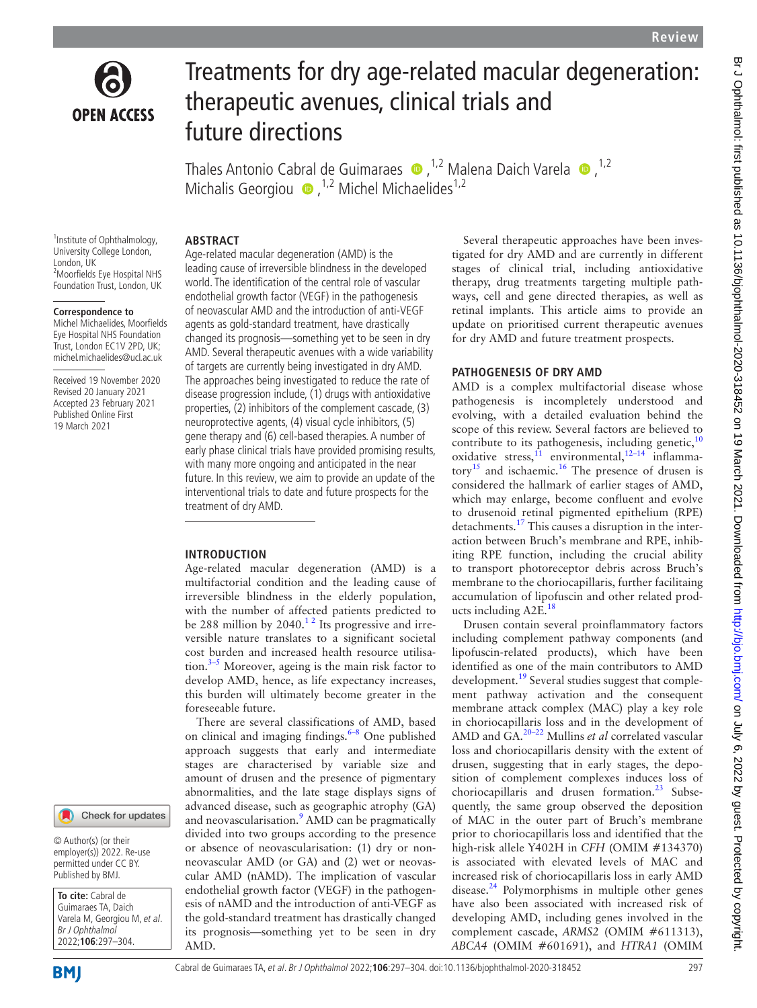

# Treatments for dry age-related macular degeneration: therapeutic avenues, clinical trials and future directions

ThalesAntonio Cabral de Guimaraes  $\bullet$ , <sup>1,2</sup> Malena Daich Varela  $\bullet$ , <sup>1,2</sup> MichalisGeorgiou  $\bullet$ ,<sup>1,2</sup> Michel Michaelides<sup>1,2</sup>

<sup>1</sup> Institute of Ophthalmology, University College London, London, UK 2 Moorfields Eye Hospital NHS Foundation Trust, London, UK

#### **Correspondence to**

Michel Michaelides, Moorfields Eye Hospital NHS Foundation Trust, London EC1V 2PD, UK; michel.michaelides@ucl.ac.uk

Received 19 November 2020 Revised 20 January 2021 Accepted 23 February 2021 Published Online First 19 March 2021

### Check for updates

© Author(s) (or their employer(s)) 2022. Re-use permitted under CC BY. Published by BMJ.

**To cite:** Cabral de Guimaraes TA, Daich Varela M, Georgiou M, et al. Br J Ophthalmol 2022;**106**:297–304.

**Abstract**

Age-related macular degeneration (AMD) is the leading cause of irreversible blindness in the developed world. The identification of the central role of vascular endothelial growth factor (VEGF) in the pathogenesis of neovascular AMD and the introduction of anti-VEGF agents as gold-standard treatment, have drastically changed its prognosis—something yet to be seen in dry AMD. Several therapeutic avenues with a wide variability of targets are currently being investigated in dry AMD. The approaches being investigated to reduce the rate of disease progression include, (1) drugs with antioxidative properties, (2) inhibitors of the complement cascade, (3) neuroprotective agents, (4) visual cycle inhibitors, (5) gene therapy and (6) cell-based therapies. A number of early phase clinical trials have provided promising results, with many more ongoing and anticipated in the near future. In this review, we aim to provide an update of the interventional trials to date and future prospects for the treatment of dry AMD.

## **Introduction**

Age-related macular degeneration (AMD) is a multifactorial condition and the leading cause of irreversible blindness in the elderly population, with the number of affected patients predicted to be 288 million by 2040.<sup>12</sup> Its progressive and irreversible nature translates to a significant societal cost burden and increased health resource utilisation. $3-5$  Moreover, ageing is the main risk factor to develop AMD, hence, as life expectancy increases, this burden will ultimately become greater in the foreseeable future.

There are several classifications of AMD, based on clinical and imaging findings.<sup>6-8</sup> One published approach suggests that early and intermediate stages are characterised by variable size and amount of drusen and the presence of pigmentary abnormalities, and the late stage displays signs of advanced disease, such as geographic atrophy (GA) and neovascularisation.<sup>9</sup> AMD can be pragmatically divided into two groups according to the presence or absence of neovascularisation: (1) dry or nonneovascular AMD (or GA) and (2) wet or neovascular AMD (nAMD). The implication of vascular endothelial growth factor (VEGF) in the pathogenesis of nAMD and the introduction of anti-VEGF as the gold-standard treatment has drastically changed its prognosis—something yet to be seen in dry AMD.

Several therapeutic approaches have been investigated for dry AMD and are currently in different stages of clinical trial, including antioxidative therapy, drug treatments targeting multiple pathways, cell and gene directed therapies, as well as retinal implants. This article aims to provide an update on prioritised current therapeutic avenues for dry AMD and future treatment prospects.

# **PATHOGENESIS OF DRY AMD**

AMD is a complex multifactorial disease whose pathogenesis is incompletely understood and evolving, with a detailed evaluation behind the scope of this review. Several factors are believed to contribute to its pathogenesis, including genetic, $10$ oxidative stress, $\hat{1}$  environmental, $\hat{1}^{2-14}$  inflamma-tory<sup>[15](#page-6-0)</sup> and ischaemic.<sup>[16](#page-6-1)</sup> The presence of drusen is considered the hallmark of earlier stages of AMD, which may enlarge, become confluent and evolve to drusenoid retinal pigmented epithelium (RPE) detachments[.17](#page-6-2) This causes a disruption in the interaction between Bruch's membrane and RPE, inhibiting RPE function, including the crucial ability to transport photoreceptor debris across Bruch's membrane to the choriocapillaris, further facilitaing accumulation of lipofuscin and other related prod-ucts including A2E.<sup>[18](#page-6-3)</sup>

Drusen contain several proinflammatory factors including complement pathway components (and lipofuscin-related products), which have been identified as one of the main contributors to AMD development.<sup>19</sup> Several studies suggest that complement pathway activation and the consequent membrane attack complex (MAC) play a key role in choriocapillaris loss and in the development of AMD and GA.[20–22](#page-6-5) Mullins *et al* correlated vascular loss and choriocapillaris density with the extent of drusen, suggesting that in early stages, the deposition of complement complexes induces loss of choriocapillaris and drusen formation.<sup>[23](#page-6-6)</sup> Subsequently, the same group observed the deposition of MAC in the outer part of Bruch's membrane prior to choriocapillaris loss and identified that the high-risk allele Y402H in *CFH* (OMIM #134370) is associated with elevated levels of MAC and increased risk of choriocapillaris loss in early AMD disease. $^{24}$  Polymorphisms in multiple other genes have also been associated with increased risk of developing AMD, including genes involved in the complement cascade, *ARMS2* (OMIM #611313), *ABCA4* (OMIM #601691), and *HTRA1* (OMIM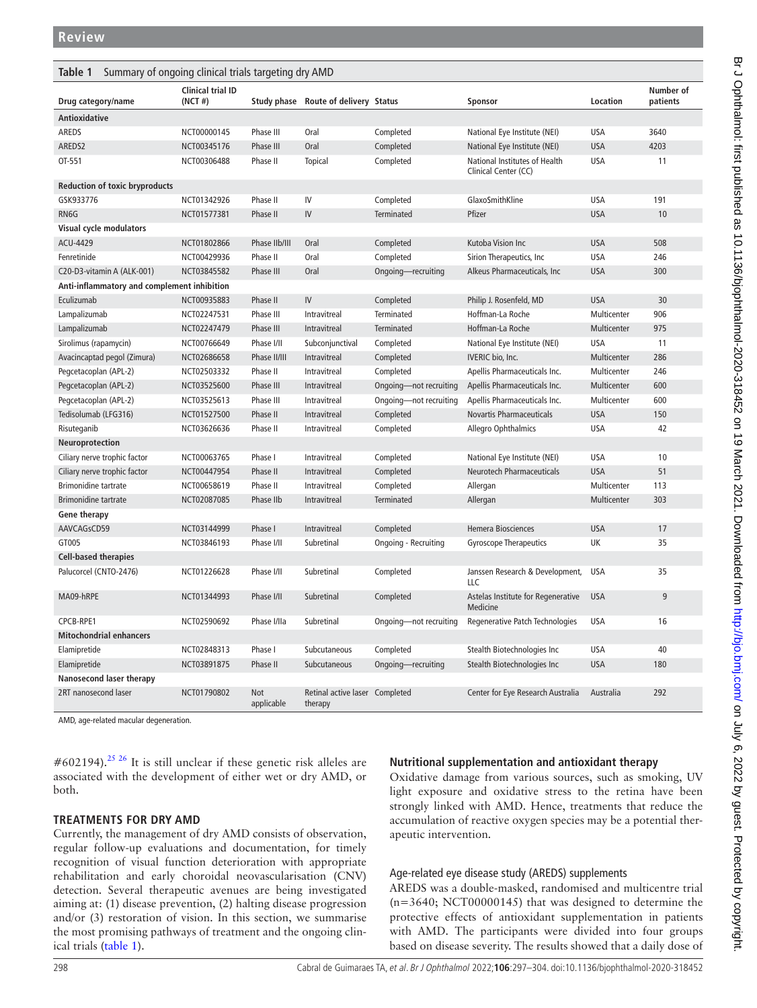<span id="page-1-0"></span>

| Summary of ongoing clinical trials targeting dry AMD<br>Table 1 |                                     |                   |                                           |                        |                                                       |             |                       |
|-----------------------------------------------------------------|-------------------------------------|-------------------|-------------------------------------------|------------------------|-------------------------------------------------------|-------------|-----------------------|
| Drug category/name                                              | <b>Clinical trial ID</b><br>(NCT #) |                   | Study phase Route of delivery Status      |                        | Sponsor                                               | Location    | Number of<br>patients |
| Antioxidative                                                   |                                     |                   |                                           |                        |                                                       |             |                       |
| AREDS                                                           | NCT00000145                         | Phase III         | Oral                                      | Completed              | National Eye Institute (NEI)                          | <b>USA</b>  | 3640                  |
| AREDS2                                                          | NCT00345176                         | Phase III         | Oral                                      | Completed              | National Eye Institute (NEI)                          | <b>USA</b>  | 4203                  |
| OT-551                                                          | NCT00306488                         | Phase II          | <b>Topical</b>                            | Completed              | National Institutes of Health<br>Clinical Center (CC) | <b>USA</b>  | 11                    |
| <b>Reduction of toxic bryproducts</b>                           |                                     |                   |                                           |                        |                                                       |             |                       |
| GSK933776                                                       | NCT01342926                         | Phase II          | IV                                        | Completed              | GlaxoSmithKline                                       | <b>USA</b>  | 191                   |
| RN6G                                                            | NCT01577381                         | Phase II          | IV                                        | <b>Terminated</b>      | Pfizer                                                | <b>USA</b>  | 10                    |
| Visual cycle modulators                                         |                                     |                   |                                           |                        |                                                       |             |                       |
| ACU-4429                                                        | NCT01802866                         | Phase IIb/III     | Oral                                      | Completed              | Kutoba Vision Inc                                     | <b>USA</b>  | 508                   |
| Fenretinide                                                     | NCT00429936                         | Phase II          | Oral                                      | Completed              | Sirion Therapeutics, Inc.                             | <b>USA</b>  | 246                   |
| C20-D3-vitamin A (ALK-001)                                      | NCT03845582                         | Phase III         | Oral                                      | Ongoing-recruiting     | Alkeus Pharmaceuticals, Inc.                          | <b>USA</b>  | 300                   |
| Anti-inflammatory and complement inhibition                     |                                     |                   |                                           |                        |                                                       |             |                       |
| Eculizumab                                                      | NCT00935883                         | Phase II          | IV                                        | Completed              | Philip J. Rosenfeld, MD                               | <b>USA</b>  | 30                    |
| Lampalizumab                                                    | NCT02247531                         | Phase III         | Intravitreal                              | Terminated             | Hoffman-La Roche                                      | Multicenter | 906                   |
| Lampalizumab                                                    | NCT02247479                         | Phase III         | Intravitreal                              | <b>Terminated</b>      | Hoffman-La Roche                                      | Multicenter | 975                   |
| Sirolimus (rapamycin)                                           | NCT00766649                         | Phase I/II        | Subconjunctival                           | Completed              | National Eye Institute (NEI)                          | <b>USA</b>  | 11                    |
| Avacincaptad pegol (Zimura)                                     | NCT02686658                         | Phase II/III      | Intravitreal                              | Completed              | IVERIC bio, Inc.                                      | Multicenter | 286                   |
| Pegcetacoplan (APL-2)                                           | NCT02503332                         | Phase II          | Intravitreal                              | Completed              | Apellis Pharmaceuticals Inc.                          | Multicenter | 246                   |
| Pegcetacoplan (APL-2)                                           | NCT03525600                         | Phase III         | <b>Intravitreal</b>                       | Ongoing-not recruiting | Apellis Pharmaceuticals Inc.                          | Multicenter | 600                   |
| Pegcetacoplan (APL-2)                                           | NCT03525613                         | Phase III         | Intravitreal                              | Ongoing-not recruiting | Apellis Pharmaceuticals Inc.                          | Multicenter | 600                   |
| Tedisolumab (LFG316)                                            | NCT01527500                         | Phase II          | Intravitreal                              | Completed              | <b>Novartis Pharmaceuticals</b>                       | <b>USA</b>  | 150                   |
| Risuteganib                                                     | NCT03626636                         | Phase II          | Intravitreal                              | Completed              | Allegro Ophthalmics                                   | <b>USA</b>  | 42                    |
| Neuroprotection                                                 |                                     |                   |                                           |                        |                                                       |             |                       |
| Ciliary nerve trophic factor                                    | NCT00063765                         | Phase I           | Intravitreal                              | Completed              | National Eye Institute (NEI)                          | <b>USA</b>  | 10                    |
| Ciliary nerve trophic factor                                    | NCT00447954                         | Phase II          | Intravitreal                              | Completed              | <b>Neurotech Pharmaceuticals</b>                      | <b>USA</b>  | 51                    |
| <b>Brimonidine</b> tartrate                                     | NCT00658619                         | Phase II          | Intravitreal                              | Completed              | Allergan                                              | Multicenter | 113                   |
| <b>Brimonidine tartrate</b>                                     | NCT02087085                         | Phase IIb         | Intravitreal                              | <b>Terminated</b>      | Allergan                                              | Multicenter | 303                   |
| <b>Gene therapy</b>                                             |                                     |                   |                                           |                        |                                                       |             |                       |
| AAVCAGsCD59                                                     | NCT03144999                         | Phase I           | <b>Intravitreal</b>                       | Completed              | <b>Hemera Biosciences</b>                             | <b>USA</b>  | 17                    |
| GT005                                                           | NCT03846193                         | Phase I/II        | Subretinal                                | Ongoing - Recruiting   | <b>Gyroscope Therapeutics</b>                         | UK          | 35                    |
| <b>Cell-based therapies</b>                                     |                                     |                   |                                           |                        |                                                       |             |                       |
| Palucorcel (CNTO-2476)                                          | NCT01226628                         | Phase I/II        | Subretinal                                | Completed              | Janssen Research & Development,<br>LLC                | <b>USA</b>  | 35                    |
| MA09-hRPE                                                       | NCT01344993                         | Phase I/II        | Subretinal                                | Completed              | Astelas Institute for Regenerative<br>Medicine        | <b>USA</b>  | 9                     |
| CPCB-RPE1                                                       | NCT02590692                         | Phase I/IIa       | Subretinal                                | Ongoing-not recruiting | Regenerative Patch Technologies                       | <b>USA</b>  | 16                    |
| <b>Mitochondrial enhancers</b>                                  |                                     |                   |                                           |                        |                                                       |             |                       |
| Elamipretide                                                    | NCT02848313                         | Phase I           | Subcutaneous                              | Completed              | Stealth Biotechnologies Inc                           | <b>USA</b>  | 40                    |
| Elamipretide                                                    | NCT03891875                         | Phase II          | Subcutaneous                              | Ongoing-recruiting     | Stealth Biotechnologies Inc                           | <b>USA</b>  | 180                   |
| Nanosecond laser therapy                                        |                                     |                   |                                           |                        |                                                       |             |                       |
| 2RT nanosecond laser                                            | NCT01790802                         | Not<br>applicable | Retinal active laser Completed<br>therapy |                        | Center for Eye Research Australia                     | Australia   | 292                   |

AMD, age-related macular degeneration.

 $\#602194$ .<sup>25 26</sup> It is still unclear if these genetic risk alleles are associated with the development of either wet or dry AMD, or both.

### **Treatments for dry AMD**

Currently, the management of dry AMD consists of observation, regular follow-up evaluations and documentation, for timely recognition of visual function deterioration with appropriate rehabilitation and early choroidal neovascularisation (CNV) detection. Several therapeutic avenues are being investigated aiming at: (1) disease prevention, (2) halting disease progression and/or (3) restoration of vision. In this section, we summarise the most promising pathways of treatment and the ongoing clinical trials [\(table](#page-1-0) 1).

# **Nutritional supplementation and antioxidant therapy**

Oxidative damage from various sources, such as smoking, UV light exposure and oxidative stress to the retina have been strongly linked with AMD. Hence, treatments that reduce the accumulation of reactive oxygen species may be a potential therapeutic intervention.

## Age-related eye disease study (AREDS) supplements

AREDS was a double-masked, randomised and multicentre trial  $(n=3640; NCT00000145)$  that was designed to determine the protective effects of antioxidant supplementation in patients with AMD. The participants were divided into four groups based on disease severity. The results showed that a daily dose of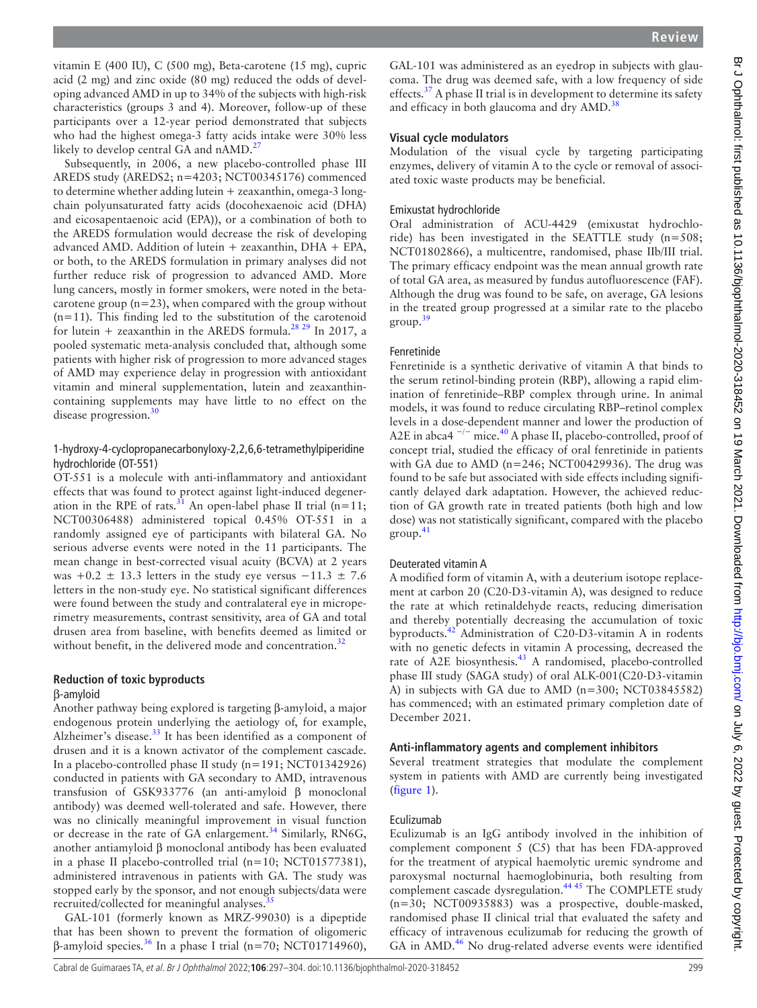vitamin E (400 IU), C (500 mg), Beta-carotene (15 mg), cupric acid (2 mg) and zinc oxide (80 mg) reduced the odds of developing advanced AMD in up to 34% of the subjects with high-risk characteristics (groups 3 and 4). Moreover, follow-up of these participants over a 12-year period demonstrated that subjects who had the highest omega-3 fatty acids intake were 30% less likely to develop central GA and nAMD.<sup>[27](#page-6-9)</sup>

Subsequently, in 2006, a new placebo-controlled phase III AREDS study (AREDS2; n=4203; NCT00345176) commenced to determine whether adding lutein + zeaxanthin, omega-3 longchain polyunsaturated fatty acids (docohexaenoic acid (DHA) and eicosapentaenoic acid (EPA)), or a combination of both to the AREDS formulation would decrease the risk of developing advanced AMD. Addition of lutein + zeaxanthin, DHA + EPA, or both, to the AREDS formulation in primary analyses did not further reduce risk of progression to advanced AMD. More lung cancers, mostly in former smokers, were noted in the betacarotene group  $(n=23)$ , when compared with the group without  $(n=11)$ . This finding led to the substitution of the carotenoid for lutein + zeaxanthin in the AREDS formula.<sup>28</sup> 29</sup> In 2017, a pooled systematic meta-analysis concluded that, although some patients with higher risk of progression to more advanced stages of AMD may experience delay in progression with antioxidant vitamin and mineral supplementation, lutein and zeaxanthincontaining supplements may have little to no effect on the disease progression.<sup>[30](#page-6-11)</sup>

# 1-hydroxy-4-cyclopropanecarbonyloxy-2,2,6,6-tetramethylpiperidine hydrochloride (OT-551)

OT-551 is a molecule with anti-inflammatory and antioxidant effects that was found to protect against light-induced degeneration in the RPE of rats.<sup>31</sup> An open-label phase II trial (n=11; NCT00306488) administered topical 0.45% OT-551 in a randomly assigned eye of participants with bilateral GA. No serious adverse events were noted in the 11 participants. The mean change in best-corrected visual acuity (BCVA) at 2 years was +0.2  $\pm$  13.3 letters in the study eye versus -11.3  $\pm$  7.6 letters in the non-study eye. No statistical significant differences were found between the study and contralateral eye in microperimetry measurements, contrast sensitivity, area of GA and total drusen area from baseline, with benefits deemed as limited or without benefit, in the delivered mode and concentration.<sup>32</sup>

# **Reduction of toxic byproducts**

### β-amyloid

Another pathway being explored is targeting β-amyloid, a major endogenous protein underlying the aetiology of, for example, Alzheimer's disease.<sup>[33](#page-6-14)</sup> It has been identified as a component of drusen and it is a known activator of the complement cascade. In a placebo-controlled phase II study (n=191; NCT01342926) conducted in patients with GA secondary to AMD, intravenous transfusion of GSK933776 (an anti-amyloid β monoclonal antibody) was deemed well-tolerated and safe. However, there was no clinically meaningful improvement in visual function or decrease in the rate of GA enlargement.<sup>[34](#page-6-15)</sup> Similarly, RN6G, another antiamyloid β monoclonal antibody has been evaluated in a phase II placebo-controlled trial (n=10; NCT01577381), administered intravenous in patients with GA. The study was stopped early by the sponsor, and not enough subjects/data were recruited/collected for meaningful analyses.<sup>3</sup>

GAL-101 (formerly known as MRZ-99030) is a dipeptide that has been shown to prevent the formation of oligomeric β-amyloid species[.36](#page-6-17) In a phase I trial (n=70; NCT01714960),

GAL-101 was administered as an eyedrop in subjects with glaucoma. The drug was deemed safe, with a low frequency of side effects.<sup>[37](#page-6-18)</sup> A phase II trial is in development to determine its safety and efficacy in both glaucoma and dry  $\text{AMD.}^{38}$ 

## **Visual cycle modulators**

Modulation of the visual cycle by targeting participating enzymes, delivery of vitamin A to the cycle or removal of associated toxic waste products may be beneficial.

## Emixustat hydrochloride

Oral administration of ACU-4429 (emixustat hydrochloride) has been investigated in the SEATTLE study (n=508; NCT01802866), a multicentre, randomised, phase IIb/III trial. The primary efficacy endpoint was the mean annual growth rate of total GA area, as measured by fundus autofluorescence (FAF). Although the drug was found to be safe, on average, GA lesions in the treated group progressed at a similar rate to the placebo group.[39](#page-6-20)

## Fenretinide

Fenretinide is a synthetic derivative of vitamin A that binds to the serum retinol-binding protein (RBP), allowing a rapid elimination of fenretinide–RBP complex through urine. In animal models, it was found to reduce circulating RBP–retinol complex levels in a dose-dependent manner and lower the production of A2E in abca4<sup> $-/-$ </sup> mice.<sup>40</sup> A phase II, placebo-controlled, proof of concept trial, studied the efficacy of oral fenretinide in patients with GA due to AMD (n=246; NCT00429936). The drug was found to be safe but associated with side effects including significantly delayed dark adaptation. However, the achieved reduction of GA growth rate in treated patients (both high and low dose) was not statistically significant, compared with the placebo  $\text{group}^{\,41}$  $\text{group}^{\,41}$  $\text{group}^{\,41}$ 

### Deuterated vitamin A

A modified form of vitamin A, with a deuterium isotope replacement at carbon 20 (C20-D3-vitamin A), was designed to reduce the rate at which retinaldehyde reacts, reducing dimerisation and thereby potentially decreasing the accumulation of toxic byproducts.[42](#page-6-23) Administration of C20-D3-vitamin A in rodents with no genetic defects in vitamin A processing, decreased the rate of A2E biosynthesis.<sup>[43](#page-6-24)</sup> A randomised, placebo-controlled phase III study (SAGA study) of oral ALK-001(C20-D3-vitamin A) in subjects with GA due to AMD (n=300; NCT03845582) has commenced; with an estimated primary completion date of December 2021.

### **Anti-inflammatory agents and complement inhibitors**

Several treatment strategies that modulate the complement system in patients with AMD are currently being investigated ([figure](#page-3-0) 1).

## Eculizumab

Eculizumab is an IgG antibody involved in the inhibition of complement component 5 (C5) that has been FDA-approved for the treatment of atypical haemolytic uremic syndrome and paroxysmal nocturnal haemoglobinuria, both resulting from complement cascade dysregulation.<sup>44 45</sup> The COMPLETE study (n=30; NCT00935883) was a prospective, double-masked, randomised phase II clinical trial that evaluated the safety and efficacy of intravenous eculizumab for reducing the growth of GA in AMD.<sup>46</sup> No drug-related adverse events were identified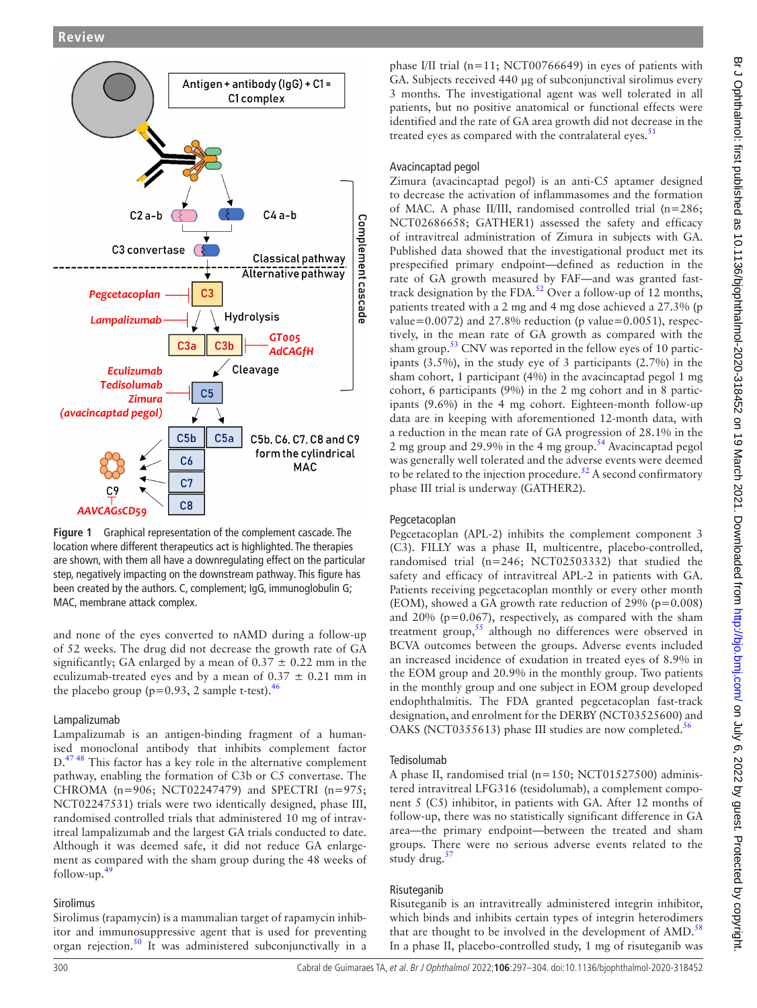

<span id="page-3-0"></span>**Figure 1** Graphical representation of the complement cascade. The location where different therapeutics act is highlighted. The therapies are shown, with them all have a downregulating effect on the particular step, negatively impacting on the downstream pathway. This figure has been created by the authors. C, complement; IgG, immunoglobulin G; MAC, membrane attack complex.

and none of the eyes converted to nAMD during a follow-up of 52 weeks. The drug did not decrease the growth rate of GA significantly; GA enlarged by a mean of  $0.37 \pm 0.22$  mm in the eculizumab-treated eyes and by a mean of  $0.37 \pm 0.21$  mm in the placebo group ( $p=0.93$ , 2 sample t-test).<sup>[46](#page-6-26)</sup>

# Lampalizumab

Lampalizumab is an antigen-binding fragment of a humanised monoclonal antibody that inhibits complement factor  $D<sup>4748</sup>$  This factor has a key role in the alternative complement pathway, enabling the formation of C3b or C5 convertase. The CHROMA (n=906; NCT02247479) and SPECTRI (n=975; NCT02247531) trials were two identically designed, phase III, randomised controlled trials that administered 10 mg of intravitreal lampalizumab and the largest GA trials conducted to date. Although it was deemed safe, it did not reduce GA enlargement as compared with the sham group during the 48 weeks of follow-up. $49$ 

# Sirolimus

Sirolimus (rapamycin) is a mammalian target of rapamycin inhibitor and immunosuppressive agent that is used for preventing organ rejection.[50](#page-6-29) It was administered subconjunctivally in a

phase I/II trial (n=11; NCT00766649) in eyes of patients with GA. Subjects received 440 µg of subconjunctival sirolimus every 3 months. The investigational agent was well tolerated in all patients, but no positive anatomical or functional effects were identified and the rate of GA area growth did not decrease in the treated eyes as compared with the contralateral eyes. $51$ 

# Avacincaptad pegol

Zimura (avacincaptad pegol) is an anti-C5 aptamer designed to decrease the activation of inflammasomes and the formation of MAC. A phase II/III, randomised controlled trial (n=286; NCT02686658; GATHER1) assessed the safety and efficacy of intravitreal administration of Zimura in subjects with GA. Published data showed that the investigational product met its prespecified primary endpoint—defined as reduction in the rate of GA growth measured by FAF—and was granted fast-track designation by the FDA.<sup>[52](#page-6-31)</sup> Over a follow-up of 12 months, patients treated with a 2 mg and 4 mg dose achieved a 27.3% (p value=0.0072) and 27.8% reduction (p value=0.0051), respectively, in the mean rate of GA growth as compared with the sham group.<sup>53</sup> CNV was reported in the fellow eyes of 10 participants (3.5%), in the study eye of 3 participants (2.7%) in the sham cohort, 1 participant (4%) in the avacincaptad pegol 1 mg cohort, 6 participants (9%) in the 2 mg cohort and in 8 participants (9.6%) in the 4 mg cohort. Eighteen-month follow-up data are in keeping with aforementioned 12-month data, with a reduction in the mean rate of GA progression of 28.1% in the 2 mg group and 29.9% in the 4 mg group.<sup>[54](#page-6-33)</sup> Avacincaptad pegol was generally well tolerated and the adverse events were deemed to be related to the injection procedure.<sup>52</sup> A second confirmatory phase III trial is underway (GATHER2).

# Pegcetacoplan

Pegcetacoplan (APL-2) inhibits the complement component 3 (C3). FILLY was a phase II, multicentre, placebo-controlled, randomised trial (n=246; NCT02503332) that studied the safety and efficacy of intravitreal APL-2 in patients with GA. Patients receiving pegcetacoplan monthly or every other month (EOM), showed a GA growth rate reduction of 29% (p=0.008) and  $20\%$  ( $p=0.067$ ), respectively, as compared with the sham treatment group,[55](#page-6-34) although no differences were observed in BCVA outcomes between the groups. Adverse events included an increased incidence of exudation in treated eyes of 8.9% in the EOM group and 20.9% in the monthly group. Two patients in the monthly group and one subject in EOM group developed endophthalmitis. The FDA granted pegcetacoplan fast-track designation, and enrolment for the DERBY (NCT03525600) and OAKS (NCT035[56](#page-6-35)13) phase III studies are now completed.<sup>56</sup>

# Tedisolumab

A phase II, randomised trial (n=150; NCT01527500) administered intravitreal LFG316 (tesidolumab), a complement component 5 (C5) inhibitor, in patients with GA. After 12 months of follow-up, there was no statistically significant difference in GA area—the primary endpoint—between the treated and sham groups. There were no serious adverse events related to the study drug.<sup>[57](#page-6-36)</sup>

# Risuteganib

Risuteganib is an intravitreally administered integrin inhibitor, which binds and inhibits certain types of integrin heterodimers that are thought to be involved in the development of  $\text{AMD}$ .<sup>[58](#page-6-37)</sup> In a phase II, placebo-controlled study, 1 mg of risuteganib was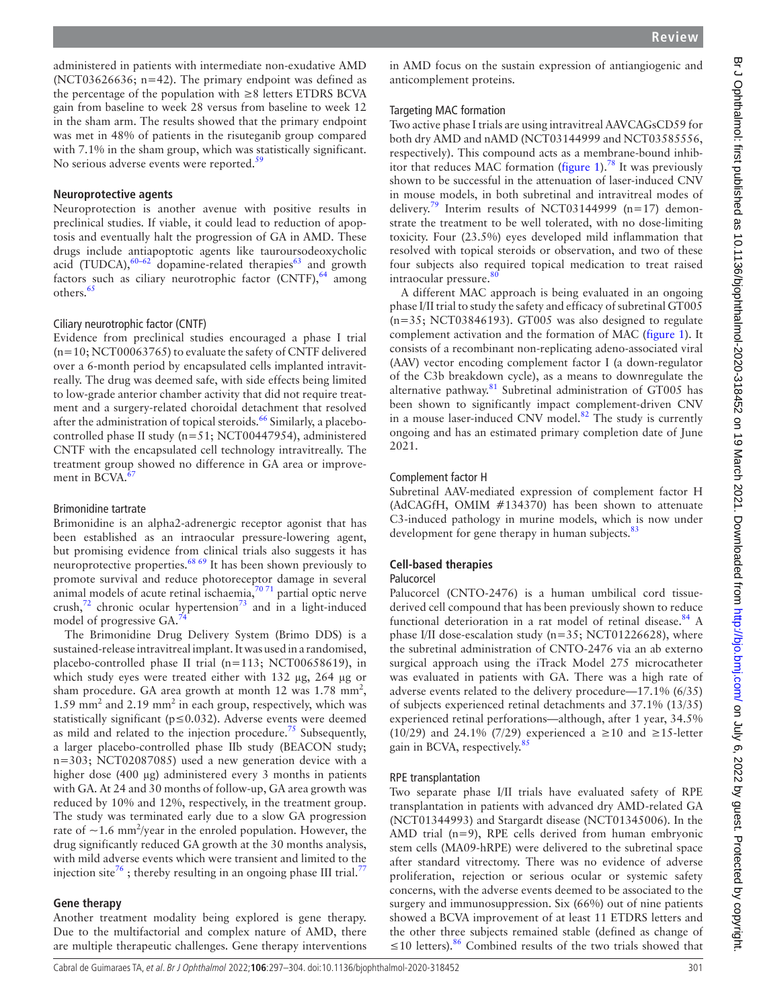administered in patients with intermediate non-exudative AMD (NCT03626636; n=42). The primary endpoint was defined as the percentage of the population with  $\geq 8$  letters ETDRS BCVA gain from baseline to week 28 versus from baseline to week 12 in the sham arm. The results showed that the primary endpoint was met in 48% of patients in the risuteganib group compared with 7.1% in the sham group, which was statistically significant. No serious adverse events were reported.<sup>[59](#page-6-38)</sup>

# **Neuroprotective agents**

Neuroprotection is another avenue with positive results in preclinical studies. If viable, it could lead to reduction of apoptosis and eventually halt the progression of GA in AMD. These drugs include antiapoptotic agents like tauroursodeoxycholic acid (TUDCA), $60-62$  dopamine-related therapies<sup>[63](#page-6-40)</sup> and growth factors such as ciliary neurotrophic factor  $(CNTF)$ ,  $64$  among others.<sup>[65](#page-6-42)</sup>

# Ciliary neurotrophic factor (CNTF)

Evidence from preclinical studies encouraged a phase I trial  $(n=10; NCT00063765)$  to evaluate the safety of CNTF delivered over a 6-month period by encapsulated cells implanted intravitreally. The drug was deemed safe, with side effects being limited to low-grade anterior chamber activity that did not require treatment and a surgery-related choroidal detachment that resolved after the administration of topical steroids.<sup>66</sup> Similarly, a placebocontrolled phase II study (n=51; NCT00447954), administered CNTF with the encapsulated cell technology intravitreally. The treatment group showed no difference in GA area or improvement in BCVA. $\overline{6}$ 

## Brimonidine tartrate

Brimonidine is an alpha2-adrenergic receptor agonist that has been established as an intraocular pressure-lowering agent, but promising evidence from clinical trials also suggests it has neuroprotective properties.[68 69](#page-7-0) It has been shown previously to promote survival and reduce photoreceptor damage in several animal models of acute retinal ischaemia, $7071$  partial optic nerve crush, $72$  chronic ocular hypertension<sup>73</sup> and in a light-induced model of progressive GA.<sup>7</sup>

The Brimonidine Drug Delivery System (Brimo DDS) is a sustained-release intravitreal implant. It was used in a randomised, placebo-controlled phase II trial (n=113; NCT00658619), in which study eyes were treated either with 132 μg, 264 μg or sham procedure. GA area growth at month  $12$  was  $1.78$  mm<sup>2</sup>, 1.59 mm<sup>2</sup> and 2.19 mm<sup>2</sup> in each group, respectively, which was statistically significant ( $p \le 0.032$ ). Adverse events were deemed as mild and related to the injection procedure.<sup>[75](#page-7-5)</sup> Subsequently, a larger placebo-controlled phase IIb study (BEACON study; n=303; NCT02087085) used a new generation device with a higher dose (400 µg) administered every 3 months in patients with GA. At 24 and 30 months of follow-up, GA area growth was reduced by 10% and 12%, respectively, in the treatment group. The study was terminated early due to a slow GA progression rate of  $\sim$ 1.6 mm<sup>2</sup>/year in the enroled population. However, the drug significantly reduced GA growth at the 30 months analysis, with mild adverse events which were transient and limited to the injection site<sup>[76](#page-7-6)</sup>; thereby resulting in an ongoing phase III trial.<sup>7</sup>

### **Gene therapy**

Another treatment modality being explored is gene therapy. Due to the multifactorial and complex nature of AMD, there are multiple therapeutic challenges. Gene therapy interventions in AMD focus on the sustain expression of antiangiogenic and anticomplement proteins.

## Targeting MAC formation

Two active phase I trials are using intravitreal AAVCAGsCD59 for both dry AMD and nAMD (NCT03144999 and NCT03585556, respectively). This compound acts as a membrane-bound inhib-itor that reduces MAC formation [\(figure](#page-3-0) 1).<sup>78</sup> It was previously shown to be successful in the attenuation of laser-induced CNV in mouse models, in both subretinal and intravitreal modes of delivery.<sup>[79](#page-7-9)</sup> Interim results of NCT03144999 (n=17) demonstrate the treatment to be well tolerated, with no dose-limiting toxicity. Four (23.5%) eyes developed mild inflammation that resolved with topical steroids or observation, and two of these four subjects also required topical medication to treat raised intraocular pressure.<sup>8</sup>

A different MAC approach is being evaluated in an ongoing phase I/II trial to study the safety and efficacy of subretinal GT005 (n=35; NCT03846193). GT005 was also designed to regulate complement activation and the formation of MAC ([figure](#page-3-0) 1). It consists of a recombinant non-replicating adeno-associated viral (AAV) vector encoding complement factor I (a down-regulator of the C3b breakdown cycle), as a means to downregulate the alternative pathway. $81$  Subretinal administration of GT005 has been shown to significantly impact complement-driven CNV in a mouse laser-induced CNV model. $82$  The study is currently ongoing and has an estimated primary completion date of June 2021.

## Complement factor H

Subretinal AAV-mediated expression of complement factor H (AdCAGfH, OMIM #134370) has been shown to attenuate C3-induced pathology in murine models, which is now under development for gene therapy in human subjects.<sup>[83](#page-7-13)</sup>

# **Cell-based therapies**

## Palucorcel

Palucorcel (CNTO-2476) is a human umbilical cord tissuederived cell compound that has been previously shown to reduce functional deterioration in a rat model of retinal disease.<sup>[84](#page-7-14)</sup> A phase I/II dose-escalation study ( $n=35$ ; NCT01226628), where the subretinal administration of CNTO-2476 via an ab externo surgical approach using the iTrack Model 275 microcatheter was evaluated in patients with GA. There was a high rate of adverse events related to the delivery procedure—17.1% (6/35) of subjects experienced retinal detachments and 37.1% (13/35) experienced retinal perforations—although, after 1 year, 34.5% (10/29) and 24.1% (7/29) experienced a ≥10 and ≥15-letter gain in BCVA, respectively.<sup>8.</sup>

### RPE transplantation

Two separate phase I/II trials have evaluated safety of RPE transplantation in patients with advanced dry AMD-related GA (NCT01344993) and Stargardt disease (NCT01345006). In the AMD trial (n=9), RPE cells derived from human embryonic stem cells (MA09-hRPE) were delivered to the subretinal space after standard vitrectomy. There was no evidence of adverse proliferation, rejection or serious ocular or systemic safety concerns, with the adverse events deemed to be associated to the surgery and immunosuppression. Six (66%) out of nine patients showed a BCVA improvement of at least 11 ETDRS letters and the other three subjects remained stable (defined as change of ≤10 letters).<sup>[86](#page-7-16)</sup> Combined results of the two trials showed that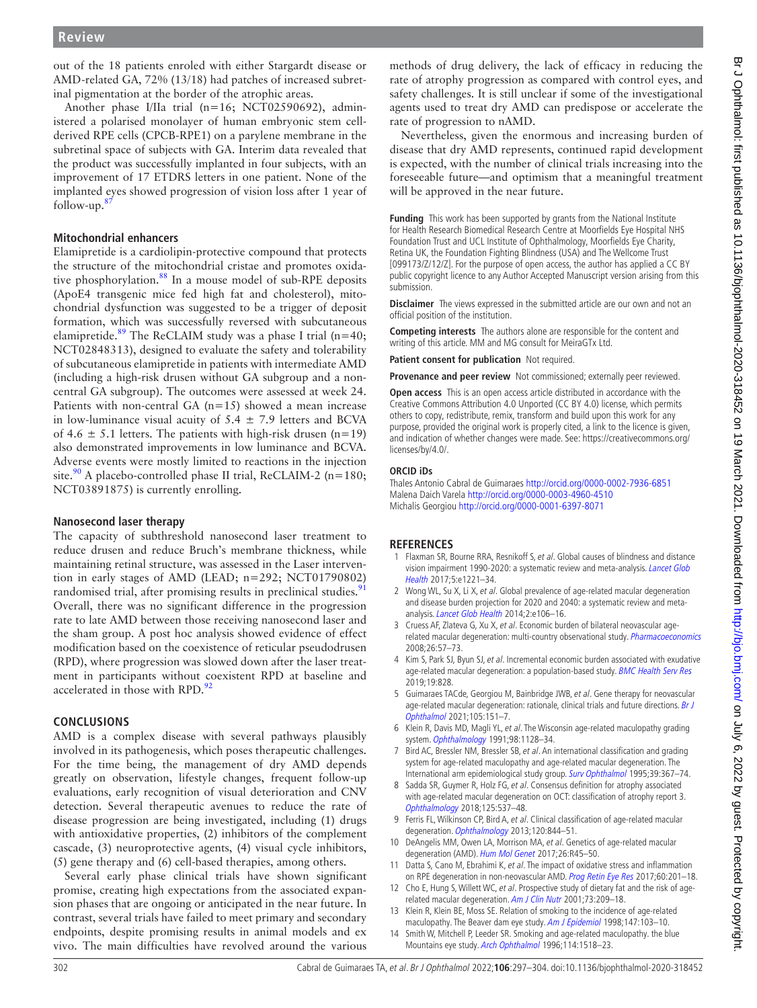out of the 18 patients enroled with either Stargardt disease or AMD-related GA, 72% (13/18) had patches of increased subretinal pigmentation at the border of the atrophic areas.

Another phase I/IIa trial (n=16; NCT02590692), administered a polarised monolayer of human embryonic stem cellderived RPE cells (CPCB-RPE1) on a parylene membrane in the subretinal space of subjects with GA. Interim data revealed that the product was successfully implanted in four subjects, with an improvement of 17 ETDRS letters in one patient. None of the implanted eyes showed progression of vision loss after 1 year of follow-up[.87](#page-7-17)

# **Mitochondrial enhancers**

Elamipretide is a cardiolipin-protective compound that protects the structure of the mitochondrial cristae and promotes oxidative phosphorylation.<sup>88</sup> In a mouse model of sub-RPE deposits (ApoE4 transgenic mice fed high fat and cholesterol), mitochondrial dysfunction was suggested to be a trigger of deposit formation, which was successfully reversed with subcutaneous elamipretide.<sup>[89](#page-7-19)</sup> The ReCLAIM study was a phase I trial (n=40; NCT02848313), designed to evaluate the safety and tolerability of subcutaneous elamipretide in patients with intermediate AMD (including a high-risk drusen without GA subgroup and a noncentral GA subgroup). The outcomes were assessed at week 24. Patients with non-central GA (n=15) showed a mean increase in low-luminance visual acuity of  $5.4 \pm 7.9$  letters and BCVA of 4.6  $\pm$  5.1 letters. The patients with high-risk drusen (n=19) also demonstrated improvements in low luminance and BCVA. Adverse events were mostly limited to reactions in the injection site.<sup>90</sup> A placebo-controlled phase II trial, ReCLAIM-2 (n=180; NCT03891875) is currently enrolling.

# **Nanosecond laser therapy**

The capacity of subthreshold nanosecond laser treatment to reduce drusen and reduce Bruch's membrane thickness, while maintaining retinal structure, was assessed in the Laser intervention in early stages of AMD (LEAD; n=292; NCT01790802) randomised trial, after promising results in preclinical studies.<sup>[91](#page-7-21)</sup> Overall, there was no significant difference in the progression rate to late AMD between those receiving nanosecond laser and the sham group. A post hoc analysis showed evidence of effect modification based on the coexistence of reticular pseudodrusen (RPD), where progression was slowed down after the laser treatment in participants without coexistent RPD at baseline and accelerated in those with RPD.<sup>[92](#page-7-22)</sup>

# **Conclusions**

AMD is a complex disease with several pathways plausibly involved in its pathogenesis, which poses therapeutic challenges. For the time being, the management of dry AMD depends greatly on observation, lifestyle changes, frequent follow-up evaluations, early recognition of visual deterioration and CNV detection. Several therapeutic avenues to reduce the rate of disease progression are being investigated, including (1) drugs with antioxidative properties, (2) inhibitors of the complement cascade, (3) neuroprotective agents, (4) visual cycle inhibitors, (5) gene therapy and (6) cell-based therapies, among others.

Several early phase clinical trials have shown significant promise, creating high expectations from the associated expansion phases that are ongoing or anticipated in the near future. In contrast, several trials have failed to meet primary and secondary endpoints, despite promising results in animal models and ex vivo. The main difficulties have revolved around the various

methods of drug delivery, the lack of efficacy in reducing the rate of atrophy progression as compared with control eyes, and safety challenges. It is still unclear if some of the investigational agents used to treat dry AMD can predispose or accelerate the rate of progression to nAMD.

Nevertheless, given the enormous and increasing burden of disease that dry AMD represents, continued rapid development is expected, with the number of clinical trials increasing into the foreseeable future—and optimism that a meaningful treatment will be approved in the near future.

**Funding** This work has been supported by grants from the National Institute for Health Research Biomedical Research Centre at Moorfields Eye Hospital NHS Foundation Trust and UCL Institute of Ophthalmology, Moorfields Eye Charity, Retina UK, the Foundation Fighting Blindness (USA) and The Wellcome Trust [099173/Z/12/Z]. For the purpose of open access, the author has applied a CC BY public copyright licence to any Author Accepted Manuscript version arising from this submission.

**Disclaimer** The views expressed in the submitted article are our own and not an official position of the institution.

**Competing interests** The authors alone are responsible for the content and writing of this article. MM and MG consult for MeiraGTx Ltd.

**Patient consent for publication** Not required.

**Provenance and peer review** Not commissioned; externally peer reviewed.

**Open access** This is an open access article distributed in accordance with the Creative Commons Attribution 4.0 Unported (CC BY 4.0) license, which permits others to copy, redistribute, remix, transform and build upon this work for any purpose, provided the original work is properly cited, a link to the licence is given, and indication of whether changes were made. See: [https://creativecommons.org/](https://creativecommons.org/licenses/by/4.0/) [licenses/by/4.0/.](https://creativecommons.org/licenses/by/4.0/)

## **ORCID iDs**

Thales Antonio Cabral de Guimaraes<http://orcid.org/0000-0002-7936-6851> Malena Daich Varela<http://orcid.org/0000-0003-4960-4510> Michalis Georgiou<http://orcid.org/0000-0001-6397-8071>

# **References**

- <span id="page-5-0"></span>1 Flaxman SR, Bourne RRA, Resnikoff S, et al. Global causes of blindness and distance vision impairment 1990-2020: a systematic review and meta-analysis. [Lancet Glob](http://dx.doi.org/10.1016/S2214-109X(17)30393-5)  [Health](http://dx.doi.org/10.1016/S2214-109X(17)30393-5) 2017;5:e1221–34.
- 2 Wong WL, Su X, Li X, et al. Global prevalence of age-related macular degeneration and disease burden projection for 2020 and 2040: a systematic review and meta-analysis. [Lancet Glob Health](http://dx.doi.org/10.1016/S2214-109X(13)70145-1) 2014;2:e106-16.
- <span id="page-5-1"></span>3 Cruess AF, Zlateva G, Xu X, et al. Economic burden of bilateral neovascular age-related macular degeneration: multi-country observational study. [Pharmacoeconomics](http://dx.doi.org/10.2165/00019053-200826010-00006) 2008;26:57–73.
- 4 Kim S, Park SJ, Byun SJ, et al. Incremental economic burden associated with exudative age-related macular degeneration: a population-based study. [BMC Health Serv Res](http://dx.doi.org/10.1186/s12913-019-4666-0) 2019;19:828.
- 5 Guimaraes TACde, Georgiou M, Bainbridge JWB, et al. Gene therapy for neovascular age-related macular degeneration: rationale, clinical trials and future directions. Br J [Ophthalmol](http://dx.doi.org/10.1136/bjophthalmol-2020-316195) 2021;105:151–7.
- <span id="page-5-2"></span>6 Klein R, Davis MD, Magli YL, et al. The Wisconsin age-related maculopathy grading system. [Ophthalmology](http://dx.doi.org/10.1016/S0161-6420(91)32186-9) 1991;98:1128–34.
- 7 Bird AC, Bressler NM, Bressler SB, et al. An international classification and grading system for age-related maculopathy and age-related macular degeneration. The International arm epidemiological study group. [Surv Ophthalmol](http://dx.doi.org/10.1016/s0039-6257(05)80092-x) 1995;39:367-74.
- 8 Sadda SR, Guymer R, Holz FG, et al. Consensus definition for atrophy associated with age-related macular degeneration on OCT: classification of atrophy report 3. [Ophthalmology](http://dx.doi.org/10.1016/j.ophtha.2017.09.028) 2018;125:537–48.
- <span id="page-5-3"></span>9 Ferris FL, Wilkinson CP, Bird A, et al. Clinical classification of age-related macular degeneration. [Ophthalmology](http://dx.doi.org/10.1016/j.ophtha.2012.10.036) 2013;120:844–51.
- <span id="page-5-4"></span>10 DeAngelis MM, Owen LA, Morrison MA, et al. Genetics of age-related macular degeneration (AMD). [Hum Mol Genet](http://dx.doi.org/10.1093/hmg/ddx228) 2017;26:R45–50.
- <span id="page-5-5"></span>11 Datta S, Cano M, Ebrahimi K, et al. The impact of oxidative stress and inflammation on RPE degeneration in non-neovascular AMD. [Prog Retin Eye Res](http://dx.doi.org/10.1016/j.preteyeres.2017.03.002) 2017;60:201-18.
- <span id="page-5-6"></span>12 Cho E, Hung S, Willett WC, et al. Prospective study of dietary fat and the risk of age-related macular degeneration. [Am J Clin Nutr](http://dx.doi.org/10.1093/ajcn/73.2.209) 2001;73:209-18.
- 13 Klein R, Klein BE, Moss SE. Relation of smoking to the incidence of age-related maculopathy. The Beaver dam eye study. [Am J Epidemiol](http://dx.doi.org/10.1093/oxfordjournals.aje.a009421) 1998;147:103-10.
- 14 Smith W, Mitchell P, Leeder SR. Smoking and age-related maculopathy. the blue Mountains eye study. [Arch Ophthalmol](http://dx.doi.org/10.1001/archopht.1996.01100140716016) 1996;114:1518-23.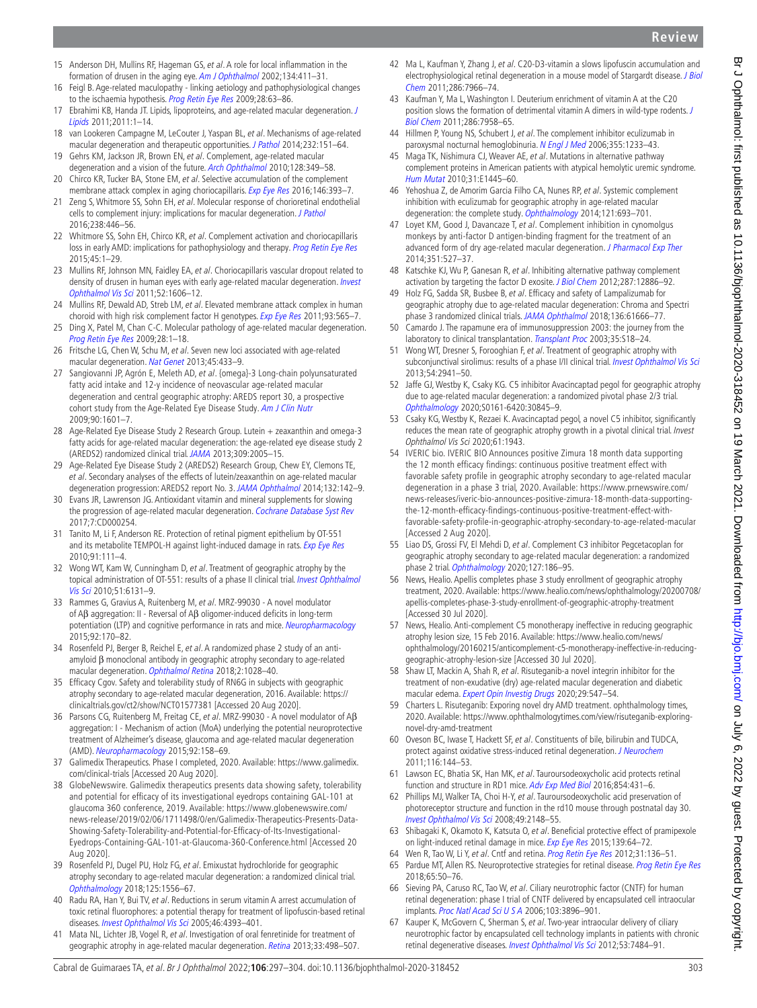- <span id="page-6-0"></span>15 Anderson DH, Mullins RF, Hageman GS, et al. A role for local inflammation in the formation of drusen in the aging eye. [Am J Ophthalmol](http://dx.doi.org/10.1016/s0002-9394(02)01624-0) 2002;134:411-31.
- <span id="page-6-1"></span>16 Feigl B. Age-related maculopathy - linking aetiology and pathophysiological changes to the ischaemia hypothesis. [Prog Retin Eye Res](http://dx.doi.org/10.1016/j.preteyeres.2008.11.004) 2009;28:63-86.
- <span id="page-6-2"></span>17 Ebrahimi KB, Handa JT. Lipids, lipoproteins, and age-related macular degeneration. J [Lipids](http://dx.doi.org/10.1155/2011/802059) 2011;2011:1–14.
- <span id="page-6-3"></span>18 van Lookeren Campagne M, LeCouter J, Yaspan BL, et al. Mechanisms of age-related macular degeneration and therapeutic opportunities. *[J Pathol](http://dx.doi.org/10.1002/path.4266)* 2014:232:151–64.
- <span id="page-6-4"></span>19 Gehrs KM, Jackson JR, Brown EN, et al. Complement, age-related macular degeneration and a vision of the future. [Arch Ophthalmol](http://dx.doi.org/10.1001/archophthalmol.2010.18) 2010;128:349-58.
- <span id="page-6-5"></span>20 Chirco KR, Tucker BA, Stone EM, et al. Selective accumulation of the complement membrane attack complex in aging choriocapillaris. [Exp Eye Res](http://dx.doi.org/10.1016/j.exer.2015.09.003) 2016;146:393-7.
- 21 Zeng S, Whitmore SS, Sohn EH, et al. Molecular response of chorioretinal endothelial cells to complement injury: implications for macular degeneration. [J Pathol](http://dx.doi.org/10.1002/path.4669) 2016;238:446–56.
- 22 Whitmore SS, Sohn EH, Chirco KR, et al. Complement activation and choriocapillaris loss in early AMD: implications for pathophysiology and therapy. [Prog Retin Eye Res](http://dx.doi.org/10.1016/j.preteyeres.2014.11.005) 2015;45:1–29.
- <span id="page-6-6"></span>23 Mullins RF, Johnson MN, Faidley EA, et al. Choriocapillaris vascular dropout related to density of drusen in human eyes with early age-related macular degeneration. *Invest* [Ophthalmol Vis Sci](http://dx.doi.org/10.1167/iovs.10-6476) 2011;52:1606–12.
- <span id="page-6-7"></span>24 Mullins RF, Dewald AD, Streb LM, et al. Elevated membrane attack complex in human choroid with high risk complement factor H genotypes. [Exp Eye Res](http://dx.doi.org/10.1016/j.exer.2011.06.015) 2011;93:565–7.
- <span id="page-6-8"></span>25 Ding X, Patel M, Chan C-C. Molecular pathology of age-related macular degeneration. [Prog Retin Eye Res](http://dx.doi.org/10.1016/j.preteyeres.2008.10.001) 2009;28:1–18.
- 26 Fritsche LG, Chen W, Schu M, et al. Seven new loci associated with age-related macular degeneration. [Nat Genet](http://dx.doi.org/10.1038/ng.2578) 2013;45:433–9.
- <span id="page-6-9"></span>27 Sangiovanni JP, Agrón E, Meleth AD, et al. {omega}-3 Long-chain polyunsaturated fatty acid intake and 12-y incidence of neovascular age-related macular degeneration and central geographic atrophy: AREDS report 30, a prospective cohort study from the Age-Related Eye Disease Study. [Am J Clin Nutr](http://dx.doi.org/10.3945/ajcn.2009.27594) 2009;90:1601–7.
- <span id="page-6-10"></span>28 Age-Related Eye Disease Study 2 Research Group. Lutein + zeaxanthin and omega-3 fatty acids for age-related macular degeneration: the age-related eye disease study 2 (AREDS2) randomized clinical trial. [JAMA](http://dx.doi.org/10.1001/jama.2013.4997) 2013;309:2005–15.
- 29 Age-Related Eye Disease Study 2 (AREDS2) Research Group, Chew EY, Clemons TE, et al. Secondary analyses of the effects of lutein/zeaxanthin on age-related macular degeneration progression: AREDS2 report No. 3. [JAMA Ophthalmol](http://dx.doi.org/10.1001/jamaophthalmol.2013.7376) 2014;132:142–9.
- <span id="page-6-11"></span>30 Evans JR, Lawrenson JG. Antioxidant vitamin and mineral supplements for slowing the progression of age-related macular degeneration. [Cochrane Database Syst Rev](http://dx.doi.org/10.1002/14651858.CD000254.pub4) 2017;7:CD000254.
- <span id="page-6-12"></span>31 Tanito M, Li F, Anderson RE. Protection of retinal pigment epithelium by OT-551 and its metabolite TEMPOL-H against light-induced damage in rats. [Exp Eye Res](http://dx.doi.org/10.1016/j.exer.2010.04.012) 2010;91:111–4.
- <span id="page-6-13"></span>32 Wong WT, Kam W, Cunningham D, et al. Treatment of geographic atrophy by the topical administration of OT-551: results of a phase II clinical trial. Invest Ophthalmol [Vis Sci](http://dx.doi.org/10.1167/iovs.10-5637) 2010;51:6131–9.
- <span id="page-6-14"></span>33 Rammes G, Gravius A, Ruitenberg M, et al. MRZ-99030 - A novel modulator of Aβ aggregation: II - Reversal of Aβ oligomer-induced deficits in long-term potentiation (LTP) and cognitive performance in rats and mice. [Neuropharmacology](http://dx.doi.org/10.1016/j.neuropharm.2014.12.037) 2015;92:170–82.
- <span id="page-6-15"></span>34 Rosenfeld PJ, Berger B, Reichel E, et al. A randomized phase 2 study of an antiamyloid β monoclonal antibody in geographic atrophy secondary to age-related macular degeneration. [Ophthalmol Retina](http://dx.doi.org/10.1016/j.oret.2018.03.001) 2018;2:1028-40.
- <span id="page-6-16"></span>35 Efficacy Cgov. Safety and tolerability study of RN6G in subjects with geographic atrophy secondary to age-related macular degeneration, 2016. Available: [https://](https://clinicaltrials.gov/ct2/show/NCT01577381) [clinicaltrials.gov/ct2/show/NCT01577381](https://clinicaltrials.gov/ct2/show/NCT01577381) [Accessed 20 Aug 2020].
- <span id="page-6-17"></span>36 Parsons CG, Ruitenberg M, Freitag CE, et al. MRZ-99030 - A novel modulator of Aβ aggregation: I - Mechanism of action (MoA) underlying the potential neuroprotective treatment of Alzheimer's disease, glaucoma and age-related macular degeneration (AMD). [Neuropharmacology](http://dx.doi.org/10.1016/j.neuropharm.2014.12.038) 2015;92:158–69.
- <span id="page-6-18"></span>37 Galimedix Therapeutics. Phase I completed, 2020. Available: [https://www.galimedix.](https://www.galimedix.com/clinical-trials) [com/clinical-trials](https://www.galimedix.com/clinical-trials) [Accessed 20 Aug 2020].
- <span id="page-6-19"></span>38 GlobeNewswire. Galimedix therapeutics presents data showing safety, tolerability and potential for efficacy of its investigational eyedrops containing GAL-101 at glaucoma 360 conference, 2019. Available: [https://www.globenewswire.com/](https://www.globenewswire.com/news-release/2019/02/06/1711498/0/en/Galimedix-Therapeutics-Presents-Data-Showing-Safety-Tolerability-and-Potential-for-Efficacy-of-Its-Investigational-Eyedrops-Containing-GAL-101-at-Glaucoma-360-Conference.html) [news-release/2019/02/06/1711498/0/en/Galimedix-Therapeutics-Presents-Data-](https://www.globenewswire.com/news-release/2019/02/06/1711498/0/en/Galimedix-Therapeutics-Presents-Data-Showing-Safety-Tolerability-and-Potential-for-Efficacy-of-Its-Investigational-Eyedrops-Containing-GAL-101-at-Glaucoma-360-Conference.html)[Showing-Safety-Tolerability-and-Potential-for-Efficacy-of-Its-Investigational-](https://www.globenewswire.com/news-release/2019/02/06/1711498/0/en/Galimedix-Therapeutics-Presents-Data-Showing-Safety-Tolerability-and-Potential-for-Efficacy-of-Its-Investigational-Eyedrops-Containing-GAL-101-at-Glaucoma-360-Conference.html)[Eyedrops-Containing-GAL-101-at-Glaucoma-360-Conference.html](https://www.globenewswire.com/news-release/2019/02/06/1711498/0/en/Galimedix-Therapeutics-Presents-Data-Showing-Safety-Tolerability-and-Potential-for-Efficacy-of-Its-Investigational-Eyedrops-Containing-GAL-101-at-Glaucoma-360-Conference.html) [Accessed 20 Aug 2020].
- <span id="page-6-20"></span>39 Rosenfeld PJ, Dugel PU, Holz FG, et al. Emixustat hydrochloride for geographic atrophy secondary to age-related macular degeneration: a randomized clinical trial. [Ophthalmology](http://dx.doi.org/10.1016/j.ophtha.2018.03.059) 2018;125:1556–67.
- <span id="page-6-21"></span>40 Radu RA, Han Y, Bui TV, et al. Reductions in serum vitamin A arrest accumulation of toxic retinal fluorophores: a potential therapy for treatment of lipofuscin-based retinal diseases. [Invest Ophthalmol Vis Sci](http://dx.doi.org/10.1167/iovs.05-0820) 2005;46:4393-401.
- <span id="page-6-22"></span>41 Mata NL, Lichter JB, Vogel R, et al. Investigation of oral fenretinide for treatment of geographic atrophy in age-related macular degeneration. [Retina](http://dx.doi.org/10.1097/IAE.0b013e318265801d) 2013;33:498-507.
- <span id="page-6-23"></span>42 Ma L, Kaufman Y, Zhang J, et al. C20-D3-vitamin a slows lipofuscin accumulation and electrophysiological retinal degeneration in a mouse model of Stargardt disease. J Biol [Chem](http://dx.doi.org/10.1074/jbc.M110.178657) 2011;286:7966–74.
- <span id="page-6-24"></span>43 Kaufman Y, Ma L, Washington I. Deuterium enrichment of vitamin A at the C20 position slows the formation of detrimental vitamin A dimers in wild-type rodents. [J](http://dx.doi.org/10.1074/jbc.M110.178640)  [Biol Chem](http://dx.doi.org/10.1074/jbc.M110.178640) 2011;286:7958–65.
- <span id="page-6-25"></span>44 Hillmen P, Young NS, Schubert J, et al. The complement inhibitor eculizumab in paroxysmal nocturnal hemoglobinuria. [N Engl J Med](http://dx.doi.org/10.1056/NEJMoa061648) 2006;355:1233–43.
- 45 Maga TK, Nishimura CJ, Weaver AE, et al. Mutations in alternative pathway complement proteins in American patients with atypical hemolytic uremic syndrome. [Hum Mutat](http://dx.doi.org/10.1002/humu.21256) 2010;31:E1445–60.
- <span id="page-6-26"></span>46 Yehoshua Z, de Amorim Garcia Filho CA, Nunes RP, et al. Systemic complement inhibition with eculizumab for geographic atrophy in age-related macular degeneration: the complete study. [Ophthalmology](http://dx.doi.org/10.1016/j.ophtha.2013.09.044) 2014;121:693-701.
- <span id="page-6-27"></span>47 Loyet KM, Good J, Davancaze T, et al. Complement inhibition in cynomolgus monkeys by anti-factor D antigen-binding fragment for the treatment of an advanced form of dry age-related macular degeneration. [J Pharmacol Exp Ther](http://dx.doi.org/10.1124/jpet.114.215921) 2014;351:527–37.
- 48 Katschke KJ, Wu P, Ganesan R, et al. Inhibiting alternative pathway complement activation by targeting the factor D exosite. [J Biol Chem](http://dx.doi.org/10.1074/jbc.M112.345082) 2012;287:12886-92.
- <span id="page-6-28"></span>49 Holz FG, Sadda SR, Busbee B, et al. Efficacy and safety of Lampalizumab for geographic atrophy due to age-related macular degeneration: Chroma and Spectri phase 3 randomized clinical trials. [JAMA Ophthalmol](http://dx.doi.org/10.1001/jamaophthalmol.2018.1544) 2018;136:61666-77.
- <span id="page-6-29"></span>50 Camardo J. The rapamune era of immunosuppression 2003: the journey from the laboratory to clinical transplantation. [Transplant Proc](http://dx.doi.org/10.1016/S0041-1345(03)00356-7) 2003;35:S18-24.
- <span id="page-6-30"></span>51 Wong WT, Dresner S, Forooghian F, et al. Treatment of geographic atrophy with subconjunctival sirolimus: results of a phase I/II clinical trial. [Invest Ophthalmol Vis Sci](http://dx.doi.org/10.1167/iovs.13-11650) 2013;54:2941–50.
- <span id="page-6-31"></span>52 Jaffe GJ, Westby K, Csaky KG. C5 inhibitor Avacincaptad pegol for geographic atrophy due to age-related macular degeneration: a randomized pivotal phase 2/3 trial. [Ophthalmology](http://dx.doi.org/10.1016/j.ophtha.2020.08.027) 2020;S0161-6420:30845–9.
- <span id="page-6-32"></span>53 Csaky KG, Westby K, Rezaei K. Avacincaptad pegol, a novel C5 inhibitor, significantly reduces the mean rate of geographic atrophy growth in a pivotal clinical trial. Invest Ophthalmol Vis Sci 2020;61:1943.
- <span id="page-6-33"></span>54 IVERIC bio. IVERIC BIO Announces positive Zimura 18 month data supporting the 12 month efficacy findings: continuous positive treatment effect with favorable safety profile in geographic atrophy secondary to age-related macular degeneration in a phase 3 trial, 2020. Available: [https://www.prnewswire.com/](https://www.prnewswire.com/news-releases/iveric-bio-announces-positive-zimura-18-month-data-supporting-the-12-month-efficacy-findings-continuous-positive-treatment-effect-with-favorable-safety-profile-in-geographic-atrophy-secondary-to-age-related-macular) [news-releases/iveric-bio-announces-positive-zimura-18-month-data-supporting](https://www.prnewswire.com/news-releases/iveric-bio-announces-positive-zimura-18-month-data-supporting-the-12-month-efficacy-findings-continuous-positive-treatment-effect-with-favorable-safety-profile-in-geographic-atrophy-secondary-to-age-related-macular)[the-12-month-efficacy-findings-continuous-positive-treatment-effect-with](https://www.prnewswire.com/news-releases/iveric-bio-announces-positive-zimura-18-month-data-supporting-the-12-month-efficacy-findings-continuous-positive-treatment-effect-with-favorable-safety-profile-in-geographic-atrophy-secondary-to-age-related-macular)[favorable-safety-profile-in-geographic-atrophy-secondary-to-age-related-macular](https://www.prnewswire.com/news-releases/iveric-bio-announces-positive-zimura-18-month-data-supporting-the-12-month-efficacy-findings-continuous-positive-treatment-effect-with-favorable-safety-profile-in-geographic-atrophy-secondary-to-age-related-macular)  [Accessed 2 Aug 2020].
- <span id="page-6-34"></span>55 Liao DS, Grossi FV, El Mehdi D, et al. Complement C3 inhibitor Pegcetacoplan for geographic atrophy secondary to age-related macular degeneration: a randomized phase 2 trial. [Ophthalmology](http://dx.doi.org/10.1016/j.ophtha.2019.07.011) 2020;127:186-95.
- <span id="page-6-35"></span>56 News, Healio. Apellis completes phase 3 study enrollment of geographic atrophy treatment, 2020. Available: [https://www.healio.com/news/ophthalmology/20200708/](https://www.healio.com/news/ophthalmology/20200708/apellis-completes-phase-3-study-enrollment-of-geographic-atrophy-treatment) [apellis-completes-phase-3-study-enrollment-of-geographic-atrophy-treatment](https://www.healio.com/news/ophthalmology/20200708/apellis-completes-phase-3-study-enrollment-of-geographic-atrophy-treatment) [Accessed 30 Jul 2020].
- <span id="page-6-36"></span>57 News, Healio. Anti-complement C5 monotherapy ineffective in reducing geographic atrophy lesion size, 15 Feb 2016. Available: [https://www.healio.com/news/](https://www.healio.com/news/ophthalmology/20160215/anticomplement-c5-monotherapy-ineffective-in-reducing-geographic-atrophy-lesion-size) [ophthalmology/20160215/anticomplement-c5-monotherapy-ineffective-in-reducing](https://www.healio.com/news/ophthalmology/20160215/anticomplement-c5-monotherapy-ineffective-in-reducing-geographic-atrophy-lesion-size)[geographic-atrophy-lesion-size](https://www.healio.com/news/ophthalmology/20160215/anticomplement-c5-monotherapy-ineffective-in-reducing-geographic-atrophy-lesion-size) [Accessed 30 Jul 2020].
- <span id="page-6-37"></span>58 Shaw LT, Mackin A, Shah R, et al. Risuteganib-a novel integrin inhibitor for the treatment of non-exudative (dry) age-related macular degeneration and diabetic macular edema. [Expert Opin Investig Drugs](http://dx.doi.org/10.1080/13543784.2020.1763953) 2020;29:547-54.
- <span id="page-6-38"></span>59 Charters L. Risuteganib: Exporing novel dry AMD treatment. ophthalmology times, 2020. Available: [https://www.ophthalmologytimes.com/view/risuteganib-exploring](https://www.ophthalmologytimes.com/view/risuteganib-exploring-novel-dry-amd-treatment)[novel-dry-amd-treatment](https://www.ophthalmologytimes.com/view/risuteganib-exploring-novel-dry-amd-treatment)
- <span id="page-6-39"></span>60 Oveson BC, Iwase T, Hackett SF, et al. Constituents of bile, bilirubin and TUDCA, protect against oxidative stress-induced retinal degeneration. *[J Neurochem](http://dx.doi.org/10.1111/j.1471-4159.2010.07092.x)* 2011;116:144–53.
- 61 Lawson EC, Bhatia SK, Han MK, et al. Tauroursodeoxycholic acid protects retinal function and structure in RD1 mice. [Adv Exp Med Biol](http://dx.doi.org/10.1007/978-3-319-17121-0_57) 2016;854:431-6.
- 62 Phillips MJ, Walker TA, Choi H-Y, et al. Tauroursodeoxycholic acid preservation of photoreceptor structure and function in the rd10 mouse through postnatal day 30. [Invest Ophthalmol Vis Sci](http://dx.doi.org/10.1167/iovs.07-1012) 2008;49:2148–55.
- <span id="page-6-40"></span>63 Shibagaki K, Okamoto K, Katsuta O, et al. Beneficial protective effect of pramipexole on light-induced retinal damage in mice. [Exp Eye Res](http://dx.doi.org/10.1016/j.exer.2015.07.007) 2015;139:64-72.
- <span id="page-6-42"></span><span id="page-6-41"></span>64 Wen R, Tao W, Li Y, et al. Cntf and retina. [Prog Retin Eye Res](http://dx.doi.org/10.1016/j.preteyeres.2011.11.005) 2012;31:136-51. 65 Pardue MT, Allen RS. Neuroprotective strategies for retinal disease. [Prog Retin Eye Res](http://dx.doi.org/10.1016/j.preteyeres.2018.02.002) 2018;65:50–76.
- <span id="page-6-43"></span>66 Sieving PA, Caruso RC, Tao W, et al. Ciliary neurotrophic factor (CNTF) for human retinal degeneration: phase I trial of CNTF delivered by encapsulated cell intraocular implants. [Proc Natl Acad Sci U S A](http://dx.doi.org/10.1073/pnas.0600236103) 2006;103:3896–901.
- <span id="page-6-44"></span>67 Kauper K, McGovern C, Sherman S, et al. Two-year intraocular delivery of ciliary neurotrophic factor by encapsulated cell technology implants in patients with chronic retinal degenerative diseases. [Invest Ophthalmol Vis Sci](http://dx.doi.org/10.1167/iovs.12-9970) 2012;53:7484-91.